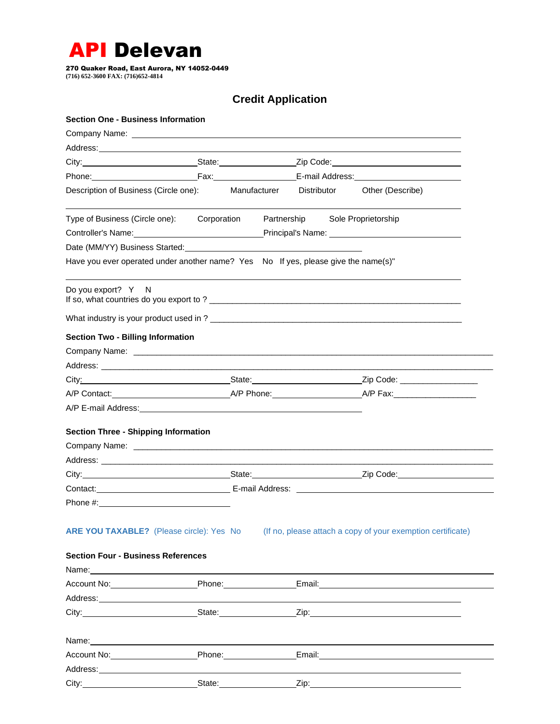

270 Quaker Road, East Aurora, NY 14052-0449 **(716) 652-3600 FAX: (716)652-4814**

## **Credit Application**

| <b>Section One - Business Information</b>                                                                                                                                                                                      |  |                                                                                                      |                                                                                                                                                                                                                                |  |
|--------------------------------------------------------------------------------------------------------------------------------------------------------------------------------------------------------------------------------|--|------------------------------------------------------------------------------------------------------|--------------------------------------------------------------------------------------------------------------------------------------------------------------------------------------------------------------------------------|--|
|                                                                                                                                                                                                                                |  |                                                                                                      |                                                                                                                                                                                                                                |  |
|                                                                                                                                                                                                                                |  |                                                                                                      |                                                                                                                                                                                                                                |  |
|                                                                                                                                                                                                                                |  | City:________________________________State:______________________Zip Code:__________________________ |                                                                                                                                                                                                                                |  |
|                                                                                                                                                                                                                                |  |                                                                                                      |                                                                                                                                                                                                                                |  |
| Description of Business (Circle one): Manufacturer Distributor                                                                                                                                                                 |  |                                                                                                      | Other (Describe)                                                                                                                                                                                                               |  |
| Type of Business (Circle one): Corporation Partnership Sole Proprietorship                                                                                                                                                     |  |                                                                                                      |                                                                                                                                                                                                                                |  |
|                                                                                                                                                                                                                                |  |                                                                                                      | Controller's Name:___________________________________Principal's Name:______________________________                                                                                                                           |  |
| Date (MM/YY) Business Started: 2008 and 2008 and 2008 and 2008 and 2008 and 2008 and 2008 and 2008 and 2008 and 2008 and 2008 and 2008 and 2008 and 2008 and 2008 and 2008 and 2008 and 2008 and 2008 and 2008 and 2008 and 20 |  |                                                                                                      |                                                                                                                                                                                                                                |  |
| Have you ever operated under another name? Yes No If yes, please give the name(s)"                                                                                                                                             |  |                                                                                                      |                                                                                                                                                                                                                                |  |
| Do you export? Y N                                                                                                                                                                                                             |  |                                                                                                      |                                                                                                                                                                                                                                |  |
|                                                                                                                                                                                                                                |  |                                                                                                      |                                                                                                                                                                                                                                |  |
| <b>Section Two - Billing Information</b>                                                                                                                                                                                       |  |                                                                                                      |                                                                                                                                                                                                                                |  |
|                                                                                                                                                                                                                                |  |                                                                                                      |                                                                                                                                                                                                                                |  |
|                                                                                                                                                                                                                                |  |                                                                                                      |                                                                                                                                                                                                                                |  |
|                                                                                                                                                                                                                                |  |                                                                                                      | City: 2ip Code: 2ip Code: 2ip Code: 2ip Code: 2ip Code: 2ip Code: 2ip Code: 2ip Code: 2ip Code: 2ip Code: 2ip Code: 2ip Code: 2ip Code: 2ip Code: 2ip Code: 2ip Code: 2ip Code: 2ip Code: 2ip Code: 2ip Code: 2ip Code: 2ip Co |  |
|                                                                                                                                                                                                                                |  |                                                                                                      |                                                                                                                                                                                                                                |  |
|                                                                                                                                                                                                                                |  |                                                                                                      |                                                                                                                                                                                                                                |  |
| <b>Section Three - Shipping Information</b>                                                                                                                                                                                    |  |                                                                                                      |                                                                                                                                                                                                                                |  |
|                                                                                                                                                                                                                                |  |                                                                                                      |                                                                                                                                                                                                                                |  |
| Address: Address: Address: Address: Address: Address: Address: Address: Address: Address: Address: A                                                                                                                           |  |                                                                                                      |                                                                                                                                                                                                                                |  |
|                                                                                                                                                                                                                                |  |                                                                                                      |                                                                                                                                                                                                                                |  |
|                                                                                                                                                                                                                                |  |                                                                                                      |                                                                                                                                                                                                                                |  |
|                                                                                                                                                                                                                                |  |                                                                                                      |                                                                                                                                                                                                                                |  |
| ARE YOU TAXABLE? (Please circle): Yes No                                                                                                                                                                                       |  |                                                                                                      | (If no, please attach a copy of your exemption certificate)                                                                                                                                                                    |  |
| <b>Section Four - Business References</b>                                                                                                                                                                                      |  |                                                                                                      |                                                                                                                                                                                                                                |  |
| Name: Name: Name: Name: Name: Name: Name: Name: Name: Name: Name: Name: Name: Name: Name: Name: Name: Name: Name: Name: Name: Name: Name: Name: Name: Name: Name: Name: Name: Name: Name: Name: Name: Name: Name: Name: Name:  |  |                                                                                                      |                                                                                                                                                                                                                                |  |
|                                                                                                                                                                                                                                |  |                                                                                                      |                                                                                                                                                                                                                                |  |
|                                                                                                                                                                                                                                |  |                                                                                                      |                                                                                                                                                                                                                                |  |
|                                                                                                                                                                                                                                |  |                                                                                                      |                                                                                                                                                                                                                                |  |
|                                                                                                                                                                                                                                |  |                                                                                                      | Name: Name: Name: Name: Name: Name: Name: Name: Name: Name: Name: Name: Name: Name: Name: Name: Name: Name: Name: Name: Name: Name: Name: Name: Name: Name: Name: Name: Name: Name: Name: Name: Name: Name: Name: Name: Name:  |  |
|                                                                                                                                                                                                                                |  |                                                                                                      | Account No: <b>Example 2018</b> Phone: <b>Example 2018</b> Phone: <b>Example 2018</b> Phone: <b>Example 2018</b> Phone: <b>Example 2019</b>                                                                                    |  |
| Address: Andreas and the state of the state of the state of the state of the state of the state of the state o                                                                                                                 |  |                                                                                                      |                                                                                                                                                                                                                                |  |
| City: State: State:                                                                                                                                                                                                            |  |                                                                                                      | <u>Zip:______________________________</u>                                                                                                                                                                                      |  |